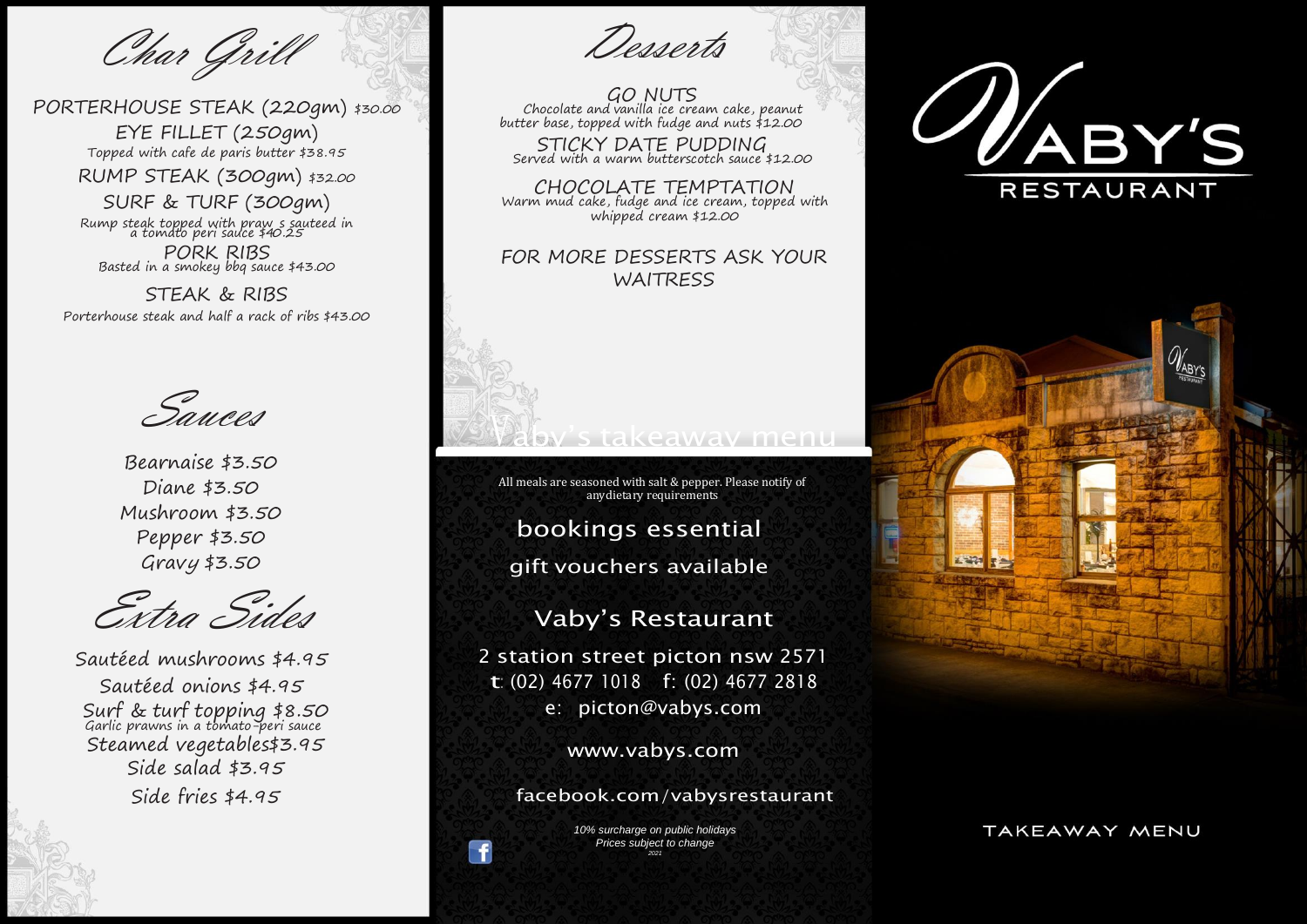Char Grill

PORTERHOUSE STEAK (220gm) \$30.00

EYE FILLET (250gm) Topped with cafe de paris butter \$38.95

RUMP STEAK (300gm) \$32.00

SURF & TURF (300gm) Rump steak topped with praw s sauteed in<br>a tomato peri sauce \$40.25 PORK RIBS Basted in a smokey bbg sauce \$43.00

**STEAK & RIBS** Porterhouse steak and half a rack of ribs \$43.00

Sauces

Bearnaise \$3.50 Diane \$3.50 Mushroom \$3.50 Pepper \$3.50  $Gravy $3.50$ 

Extra Sides

Sautéed mushrooms \$4.95 Sautéed onions \$4.95 Surf & turf topping \$8.50<br>Garlic prawns in a tomato-peri sauce Steamed vegetables\$3.95 Side salad  $$3.95$ Side fries \$4.95

Desserts

**GO NUTS** Chocolate and vanilla ice cream cake, peanut<br>butter base, topped with fudge and nuts \$12.00

STICKY DATE PUDDING<br>Served with a warm butterscotch sauce \$12.00

CHOCOLATE TEMPTATION<br>Warm mud cake, fudge and ice cream, topped with whipped cream \$12.00

## FOR MORE DESSERTS ASK YOUR **WAITRESS**

All meals are seasoned with salt & pepper. Please notify of anydietary requirements

bookings essential

gift vouchers available

**Vaby's Restaurant** 

2 station street picton nsw 2571 t: (02) 4677 1018 f: (02) 4677 2818 e: picton@vabys.com

www.vabys.com

facebook.com/vabysrestaurant

10% surcharge on public holidays Prices subject to change

 $\mathbf f$ 





TAKEAWAY MENU